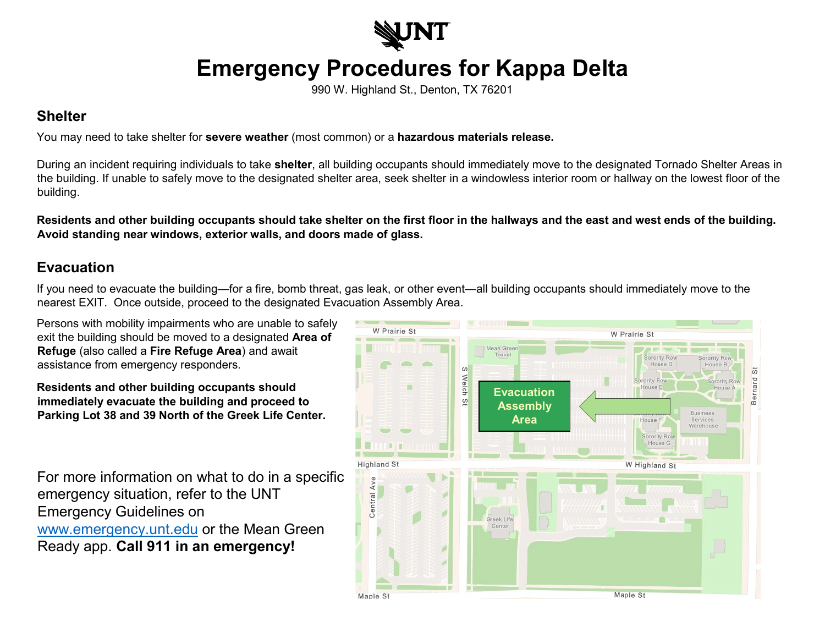

## **Emergency Procedures for Kappa Delta**

990 W. Highland St., Denton, TX 76201

## **Shelter**

You may need to take shelter for **severe weather** (most common) or a **hazardous materials release.**

During an incident requiring individuals to take **shelter**, all building occupants should immediately move to the designated Tornado Shelter Areas in the building. If unable to safely move to the designated shelter area, seek shelter in a windowless interior room or hallway on the lowest floor of the building.

**Residents and other building occupants should take shelter on the first floor in the hallways and the east and west ends of the building. Avoid standing near windows, exterior walls, and doors made of glass.** 

## **Evacuation**

If you need to evacuate the building—for a fire, bomb threat, gas leak, or other event—all building occupants should immediately move to the nearest EXIT. Once outside, proceed to the designated Evacuation Assembly Area.

Persons with mobility impairments who are unable to safely exit the building should be moved to a designated **Area of Refuge** (also called a **Fire Refuge Area**) and await assistance from emergency responders.

**Residents and other building occupants should immediately evacuate the building and proceed to Parking Lot 38 and 39 North of the Greek Life Center.**

For more information on what to do in a specific emergency situation, refer to the UNT Emergency Guidelines on [www.emergency.unt.edu](http://www.emergency.unt.edu/) or the Mean Green Ready app. **Call 911 in an emergency!**

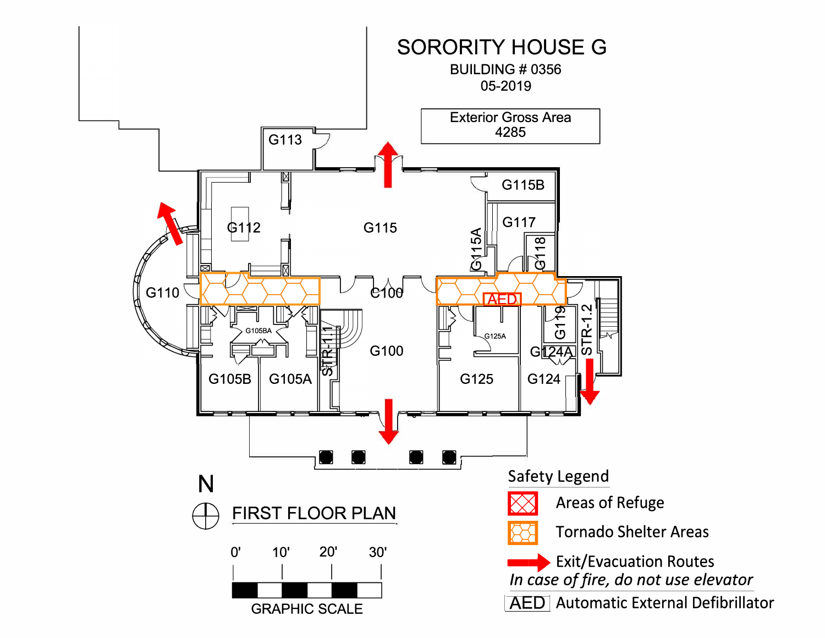